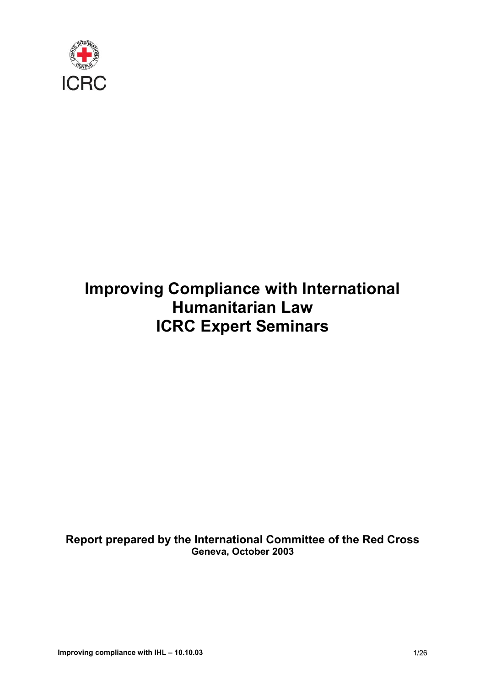

# **Improving Compliance with International Humanitarian Law ICRC Expert Seminars**

**Report prepared by the International Committee of the Red Cross Geneva, October 2003**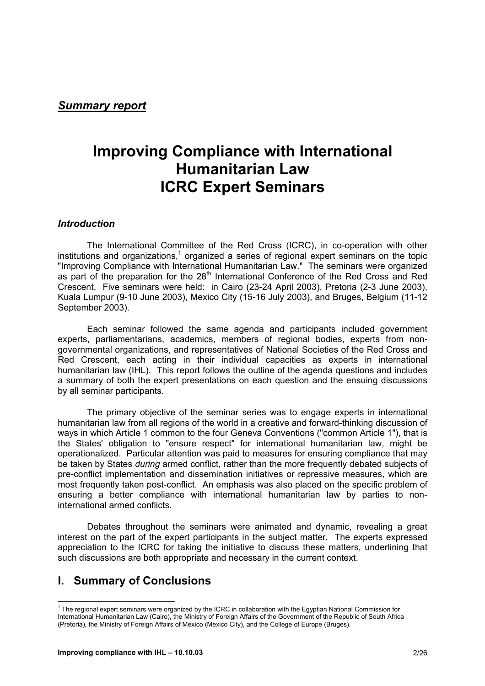#### *Summary report*

## **Improving Compliance with International Humanitarian Law ICRC Expert Seminars**

#### *Introduction*

The International Committee of the Red Cross (ICRC), in co-operation with other institutions and organizations,<sup>1</sup> organized a series of regional expert seminars on the topic "Improving Compliance with International Humanitarian Law." The seminars were organized as part of the preparation for the  $28<sup>th</sup>$  International Conference of the Red Cross and Red Crescent. Five seminars were held: in Cairo (23-24 April 2003), Pretoria (2-3 June 2003), Kuala Lumpur (9-10 June 2003), Mexico City (15-16 July 2003), and Bruges, Belgium (11-12 September 2003).

Each seminar followed the same agenda and participants included government experts, parliamentarians, academics, members of regional bodies, experts from nongovernmental organizations, and representatives of National Societies of the Red Cross and Red Crescent, each acting in their individual capacities as experts in international humanitarian law (IHL). This report follows the outline of the agenda questions and includes a summary of both the expert presentations on each question and the ensuing discussions by all seminar participants.

The primary objective of the seminar series was to engage experts in international humanitarian law from all regions of the world in a creative and forward-thinking discussion of ways in which Article 1 common to the four Geneva Conventions ("common Article 1"), that is the States' obligation to "ensure respect" for international humanitarian law, might be operationalized. Particular attention was paid to measures for ensuring compliance that may be taken by States *during* armed conflict, rather than the more frequently debated subjects of pre-conflict implementation and dissemination initiatives or repressive measures, which are most frequently taken post-conflict. An emphasis was also placed on the specific problem of ensuring a better compliance with international humanitarian law by parties to noninternational armed conflicts.

Debates throughout the seminars were animated and dynamic, revealing a great interest on the part of the expert participants in the subject matter. The experts expressed appreciation to the ICRC for taking the initiative to discuss these matters, underlining that such discussions are both appropriate and necessary in the current context.

## **I. Summary of Conclusions**

 1 The regional expert seminars were organized by the ICRC in collaboration with the Egyptian National Commission for International Humanitarian Law (Cairo), the Ministry of Foreign Affairs of the Government of the Republic of South Africa (Pretoria), the Ministry of Foreign Affairs of Mexico (Mexico City), and the College of Europe (Bruges).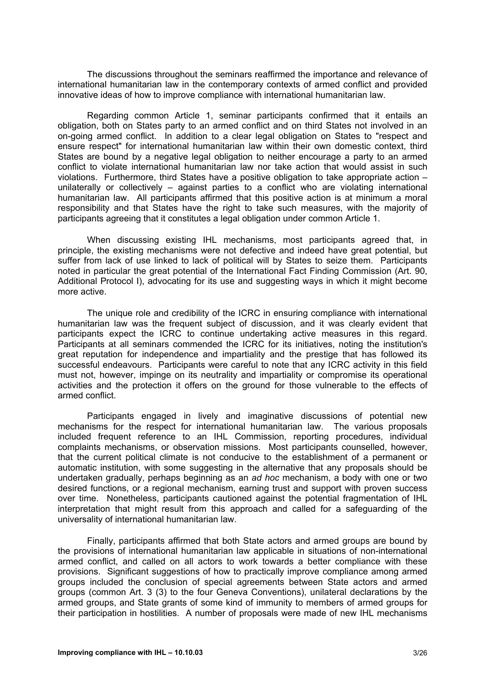The discussions throughout the seminars reaffirmed the importance and relevance of international humanitarian law in the contemporary contexts of armed conflict and provided innovative ideas of how to improve compliance with international humanitarian law.

Regarding common Article 1, seminar participants confirmed that it entails an obligation, both on States party to an armed conflict and on third States not involved in an on-going armed conflict. In addition to a clear legal obligation on States to "respect and ensure respect" for international humanitarian law within their own domestic context, third States are bound by a negative legal obligation to neither encourage a party to an armed conflict to violate international humanitarian law nor take action that would assist in such violations. Furthermore, third States have a positive obligation to take appropriate action – unilaterally or collectively – against parties to a conflict who are violating international humanitarian law. All participants affirmed that this positive action is at minimum a moral responsibility and that States have the right to take such measures, with the majority of participants agreeing that it constitutes a legal obligation under common Article 1.

When discussing existing IHL mechanisms, most participants agreed that, in principle, the existing mechanisms were not defective and indeed have great potential, but suffer from lack of use linked to lack of political will by States to seize them. Participants noted in particular the great potential of the International Fact Finding Commission (Art. 90, Additional Protocol I), advocating for its use and suggesting ways in which it might become more active.

The unique role and credibility of the ICRC in ensuring compliance with international humanitarian law was the frequent subject of discussion, and it was clearly evident that participants expect the ICRC to continue undertaking active measures in this regard. Participants at all seminars commended the ICRC for its initiatives, noting the institution's great reputation for independence and impartiality and the prestige that has followed its successful endeavours. Participants were careful to note that any ICRC activity in this field must not, however, impinge on its neutrality and impartiality or compromise its operational activities and the protection it offers on the ground for those vulnerable to the effects of armed conflict.

Participants engaged in lively and imaginative discussions of potential new mechanisms for the respect for international humanitarian law. The various proposals included frequent reference to an IHL Commission, reporting procedures, individual complaints mechanisms, or observation missions. Most participants counselled, however, that the current political climate is not conducive to the establishment of a permanent or automatic institution, with some suggesting in the alternative that any proposals should be undertaken gradually, perhaps beginning as an *ad hoc* mechanism, a body with one or two desired functions, or a regional mechanism, earning trust and support with proven success over time. Nonetheless, participants cautioned against the potential fragmentation of IHL interpretation that might result from this approach and called for a safeguarding of the universality of international humanitarian law.

Finally, participants affirmed that both State actors and armed groups are bound by the provisions of international humanitarian law applicable in situations of non-international armed conflict, and called on all actors to work towards a better compliance with these provisions. Significant suggestions of how to practically improve compliance among armed groups included the conclusion of special agreements between State actors and armed groups (common Art. 3 (3) to the four Geneva Conventions), unilateral declarations by the armed groups, and State grants of some kind of immunity to members of armed groups for their participation in hostilities. A number of proposals were made of new IHL mechanisms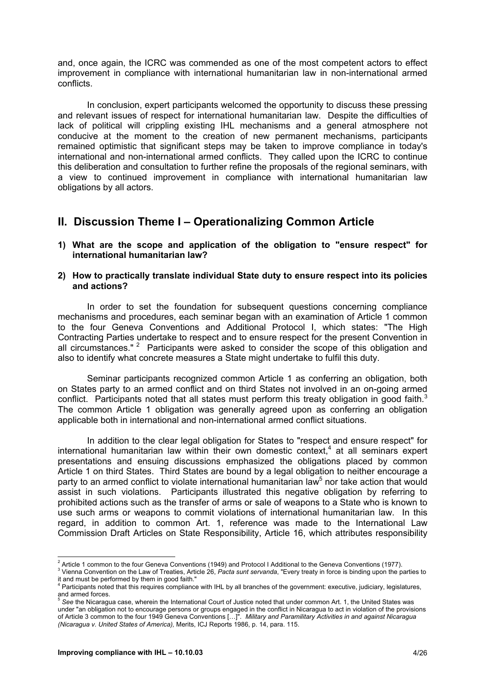and, once again, the ICRC was commended as one of the most competent actors to effect improvement in compliance with international humanitarian law in non-international armed conflicts.

In conclusion, expert participants welcomed the opportunity to discuss these pressing and relevant issues of respect for international humanitarian law. Despite the difficulties of lack of political will crippling existing IHL mechanisms and a general atmosphere not conducive at the moment to the creation of new permanent mechanisms, participants remained optimistic that significant steps may be taken to improve compliance in today's international and non-international armed conflicts. They called upon the ICRC to continue this deliberation and consultation to further refine the proposals of the regional seminars, with a view to continued improvement in compliance with international humanitarian law obligations by all actors.

## **II. Discussion Theme I – Operationalizing Common Article**

**1) What are the scope and application of the obligation to "ensure respect" for international humanitarian law?** 

#### **2) How to practically translate individual State duty to ensure respect into its policies and actions?**

In order to set the foundation for subsequent questions concerning compliance mechanisms and procedures, each seminar began with an examination of Article 1 common to the four Geneva Conventions and Additional Protocol I, which states: "The High Contracting Parties undertake to respect and to ensure respect for the present Convention in all circumstances."<sup>2</sup> Participants were asked to consider the scope of this obligation and also to identify what concrete measures a State might undertake to fulfil this duty.

Seminar participants recognized common Article 1 as conferring an obligation, both on States party to an armed conflict and on third States not involved in an on-going armed conflict. Participants noted that all states must perform this treaty obligation in good faith. $3$ The common Article 1 obligation was generally agreed upon as conferring an obligation applicable both in international and non-international armed conflict situations.

In addition to the clear legal obligation for States to "respect and ensure respect" for international humanitarian law within their own domestic context,<sup>4</sup> at all seminars expert presentations and ensuing discussions emphasized the obligations placed by common Article 1 on third States. Third States are bound by a legal obligation to neither encourage a party to an armed conflict to violate international humanitarian law<sup>5</sup> nor take action that would assist in such violations. Participants illustrated this negative obligation by referring to prohibited actions such as the transfer of arms or sale of weapons to a State who is known to use such arms or weapons to commit violations of international humanitarian law. In this regard, in addition to common Art. 1, reference was made to the International Law Commission Draft Articles on State Responsibility, Article 16, which attributes responsibility

 <sup>2</sup> Article 1 common to the four Geneva Conventions (1949) and Protocol I Additional to the Geneva Conventions (1977).<br><sup>3</sup> Vienna Convention on the Law of Treation, Article 36, Reate sunt convented "Even treaty in faces i

Vienna Convention on the Law of Treaties, Article 26, *Pacta sunt servanda*, "Every treaty in force is binding upon the parties to it and must be performed by them in good faith."

<sup>4</sup> Participants noted that this requires compliance with IHL by all branches of the government: executive, judiciary, legislatures, and armed forces.

<sup>&</sup>lt;sup>5</sup> See the Nicaragua case, wherein the International Court of Justice noted that under common Art. 1, the United States was under "an obligation not to encourage persons or groups engaged in the conflict in Nicaragua to act in violation of the provisions of Article 3 common to the four 1949 Geneva Conventions […]". *Military and Paramilitary Activities in and against Nicaragua (Nicaragua v. United States of America),* Merits, ICJ Reports 1986, p. 14, para. 115.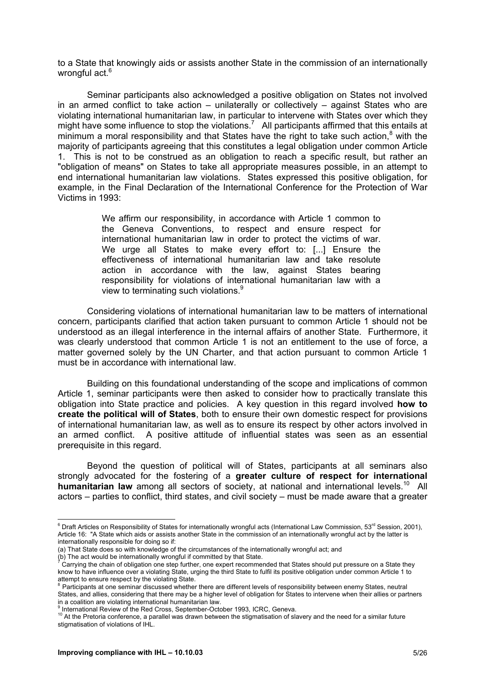to a State that knowingly aids or assists another State in the commission of an internationally wrongful act.<sup>6</sup>

Seminar participants also acknowledged a positive obligation on States not involved in an armed conflict to take action – unilaterally or collectively – against States who are violating international humanitarian law, in particular to intervene with States over which they might have some influence to stop the violations.<sup>7</sup> All participants affirmed that this entails at minimum a moral responsibility and that States have the right to take such action,<sup>8</sup> with the majority of participants agreeing that this constitutes a legal obligation under common Article 1. This is not to be construed as an obligation to reach a specific result, but rather an "obligation of means" on States to take all appropriate measures possible, in an attempt to end international humanitarian law violations. States expressed this positive obligation, for example, in the Final Declaration of the International Conference for the Protection of War Victims in 1993:

> We affirm our responsibility, in accordance with Article 1 common to the Geneva Conventions, to respect and ensure respect for international humanitarian law in order to protect the victims of war. We urge all States to make every effort to: [...] Ensure the effectiveness of international humanitarian law and take resolute action in accordance with the law, against States bearing responsibility for violations of international humanitarian law with a view to terminating such violations.<sup>9</sup>

Considering violations of international humanitarian law to be matters of international concern, participants clarified that action taken pursuant to common Article 1 should not be understood as an illegal interference in the internal affairs of another State. Furthermore, it was clearly understood that common Article 1 is not an entitlement to the use of force, a matter governed solely by the UN Charter, and that action pursuant to common Article 1 must be in accordance with international law.

Building on this foundational understanding of the scope and implications of common Article 1, seminar participants were then asked to consider how to practically translate this obligation into State practice and policies. A key question in this regard involved **how to create the political will of States**, both to ensure their own domestic respect for provisions of international humanitarian law, as well as to ensure its respect by other actors involved in an armed conflict. A positive attitude of influential states was seen as an essential prerequisite in this regard.

Beyond the question of political will of States, participants at all seminars also strongly advocated for the fostering of a **greater culture of respect for international humanitarian law** among all sectors of society, at national and international levels.<sup>10</sup> All actors – parties to conflict, third states, and civil society – must be made aware that a greater

e<br><sup>6</sup> Draft Articles on Responsibility of States for internationally wrongful acts (International Law Commission, 53<sup>rd</sup> Session, 2001), Article 16: "A State which aids or assists another State in the commission of an internationally wrongful act by the latter is internationally responsible for doing so if:

<sup>(</sup>a) That State does so with knowledge of the circumstances of the internationally wrongful act; and

<sup>(</sup>b) The act would be internationally wrongful if committed by that State.<br>Corning the chain of obligation and stap further, and expert recommen Carrying the chain of obligation one step further, one expert recommended that States should put pressure on a State they know to have influence over a violating State, urging the third State to fulfil its positive obligation under common Article 1 to attempt to ensure respect by the violating State.

Participants at one seminar discussed whether there are different levels of responsibility between enemy States, neutral States, and allies, considering that there may be a higher level of obligation for States to intervene when their allies or partners in a coalition are violating international humanitarian law. 9

International Review of the Red Cross, September-October 1993, ICRC, Geneva.

<sup>&</sup>lt;sup>10</sup> At the Pretoria conference, a parallel was drawn between the stigmatisation of slavery and the need for a similar future stigmatisation of violations of IHL.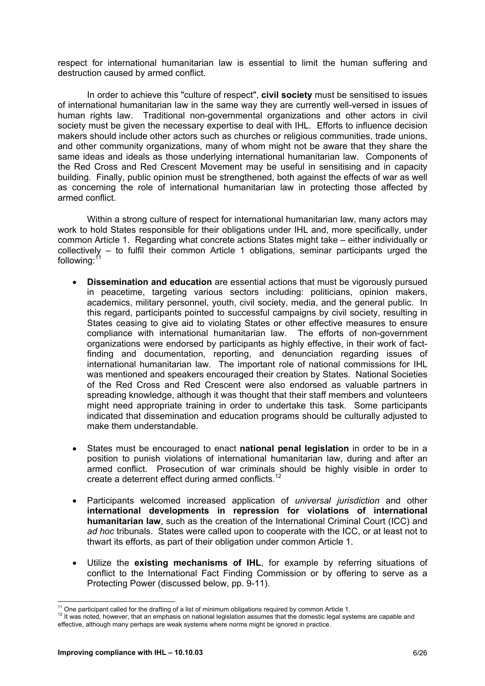respect for international humanitarian law is essential to limit the human suffering and destruction caused by armed conflict.

In order to achieve this "culture of respect", **civil society** must be sensitised to issues of international humanitarian law in the same way they are currently well-versed in issues of human rights law. Traditional non-governmental organizations and other actors in civil society must be given the necessary expertise to deal with IHL. Efforts to influence decision makers should include other actors such as churches or religious communities, trade unions, and other community organizations, many of whom might not be aware that they share the same ideas and ideals as those underlying international humanitarian law. Components of the Red Cross and Red Crescent Movement may be useful in sensitising and in capacity building. Finally, public opinion must be strengthened, both against the effects of war as well as concerning the role of international humanitarian law in protecting those affected by armed conflict.

Within a strong culture of respect for international humanitarian law, many actors may work to hold States responsible for their obligations under IHL and, more specifically, under common Article 1. Regarding what concrete actions States might take – either individually or collectively – to fulfil their common Article 1 obligations, seminar participants urged the following:<sup>1</sup>

- **Dissemination and education** are essential actions that must be vigorously pursued in peacetime, targeting various sectors including: politicians, opinion makers, academics, military personnel, youth, civil society, media, and the general public. In this regard, participants pointed to successful campaigns by civil society, resulting in States ceasing to give aid to violating States or other effective measures to ensure compliance with international humanitarian law. The efforts of non-government organizations were endorsed by participants as highly effective, in their work of factfinding and documentation, reporting, and denunciation regarding issues of international humanitarian law. The important role of national commissions for IHL was mentioned and speakers encouraged their creation by States. National Societies of the Red Cross and Red Crescent were also endorsed as valuable partners in spreading knowledge, although it was thought that their staff members and volunteers might need appropriate training in order to undertake this task. Some participants indicated that dissemination and education programs should be culturally adjusted to make them understandable.
- States must be encouraged to enact **national penal legislation** in order to be in a position to punish violations of international humanitarian law, during and after an armed conflict. Prosecution of war criminals should be highly visible in order to create a deterrent effect during armed conflicts.<sup>12</sup>
- Participants welcomed increased application of *universal jurisdiction* and other **international developments in repression for violations of international humanitarian law**, such as the creation of the International Criminal Court (ICC) and *ad hoc* tribunals. States were called upon to cooperate with the ICC, or at least not to thwart its efforts, as part of their obligation under common Article 1.
- Utilize the **existing mechanisms of IHL**, for example by referring situations of conflict to the International Fact Finding Commission or by offering to serve as a Protecting Power (discussed below, pp. 9-11).

<sup>&</sup>lt;sup>11</sup> One participant called for the drafting of a list of minimum obligations required by common Article 1.<br><sup>12</sup> It was noted, however, that an emphasis on national legislation assumes that the domestic legal systems are effective, although many perhaps are weak systems where norms might be ignored in practice.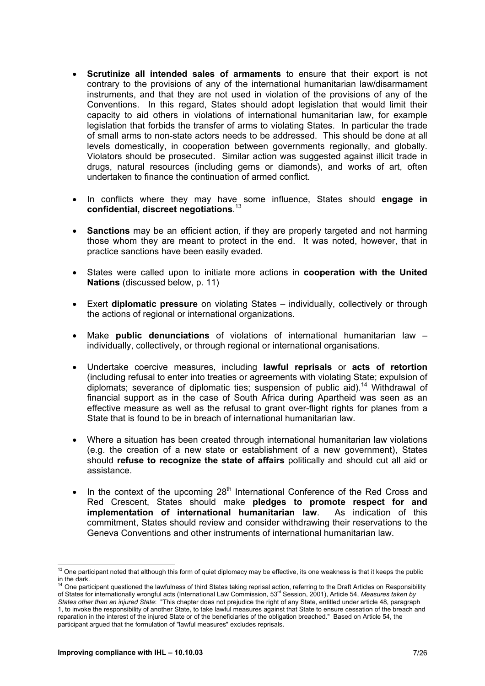- **Scrutinize all intended sales of armaments** to ensure that their export is not contrary to the provisions of any of the international humanitarian law/disarmament instruments, and that they are not used in violation of the provisions of any of the Conventions. In this regard, States should adopt legislation that would limit their capacity to aid others in violations of international humanitarian law, for example legislation that forbids the transfer of arms to violating States. In particular the trade of small arms to non-state actors needs to be addressed. This should be done at all levels domestically, in cooperation between governments regionally, and globally. Violators should be prosecuted. Similar action was suggested against illicit trade in drugs, natural resources (including gems or diamonds), and works of art, often undertaken to finance the continuation of armed conflict.
- In conflicts where they may have some influence, States should **engage in confidential, discreet negotiations**. 13
- **Sanctions** may be an efficient action, if they are properly targeted and not harming those whom they are meant to protect in the end. It was noted, however, that in practice sanctions have been easily evaded.
- States were called upon to initiate more actions in **cooperation with the United Nations** (discussed below, p. 11)
- Exert **diplomatic pressure** on violating States individually, collectively or through the actions of regional or international organizations.
- Make **public denunciations** of violations of international humanitarian law individually, collectively, or through regional or international organisations.
- Undertake coercive measures, including **lawful reprisals** or **acts of retortion**  (including refusal to enter into treaties or agreements with violating State; expulsion of diplomats; severance of diplomatic ties; suspension of public aid).<sup>14</sup> Withdrawal of financial support as in the case of South Africa during Apartheid was seen as an effective measure as well as the refusal to grant over-flight rights for planes from a State that is found to be in breach of international humanitarian law.
- Where a situation has been created through international humanitarian law violations (e.g. the creation of a new state or establishment of a new government), States should **refuse to recognize the state of affairs** politically and should cut all aid or assistance.
- In the context of the upcoming  $28<sup>th</sup>$  International Conference of the Red Cross and Red Crescent, States should make **pledges to promote respect for and implementation of international humanitarian law**. As indication of this commitment, States should review and consider withdrawing their reservations to the Geneva Conventions and other instruments of international humanitarian law.

  $13$  One participant noted that although this form of quiet diplomacy may be effective, its one weakness is that it keeps the public in the dark.

 $14$  One participant questioned the lawfulness of third States taking reprisal action, referring to the Draft Articles on Responsibility of States for internationally wrongful acts (International Law Commission, 53rd Session, 2001), Article 54, *Measures taken by States other than an injured State*: "This chapter does not prejudice the right of any State, entitled under article 48, paragraph 1, to invoke the responsibility of another State, to take lawful measures against that State to ensure cessation of the breach and reparation in the interest of the injured State or of the beneficiaries of the obligation breached." Based on Article 54, the participant argued that the formulation of "lawful measures" excludes reprisals.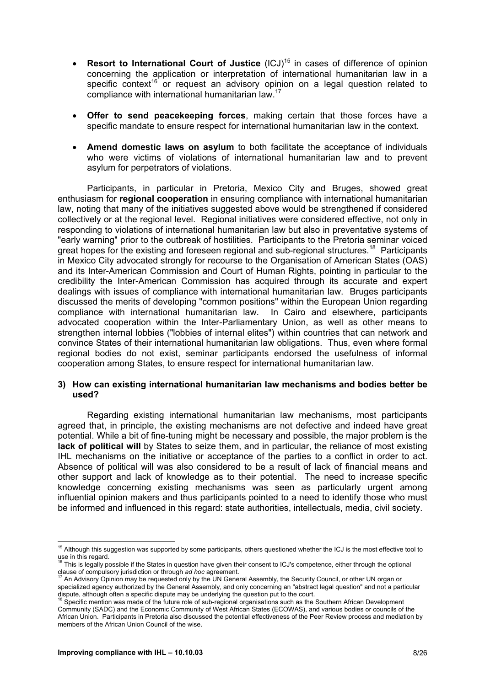- **Resort to International Court of Justice** (ICJ)<sup>15</sup> in cases of difference of opinion concerning the application or interpretation of international humanitarian law in a specific context<sup>16</sup> or request an advisory opinion on a legal question related to compliance with international humanitarian law.17
- **Offer to send peacekeeping forces**, making certain that those forces have a specific mandate to ensure respect for international humanitarian law in the context.
- **Amend domestic laws on asylum** to both facilitate the acceptance of individuals who were victims of violations of international humanitarian law and to prevent asylum for perpetrators of violations.

Participants, in particular in Pretoria, Mexico City and Bruges, showed great enthusiasm for **regional cooperation** in ensuring compliance with international humanitarian law, noting that many of the initiatives suggested above would be strengthened if considered collectively or at the regional level. Regional initiatives were considered effective, not only in responding to violations of international humanitarian law but also in preventative systems of "early warning" prior to the outbreak of hostilities. Participants to the Pretoria seminar voiced great hopes for the existing and foreseen regional and sub-regional structures.<sup>18</sup> Participants in Mexico City advocated strongly for recourse to the Organisation of American States (OAS) and its Inter-American Commission and Court of Human Rights, pointing in particular to the credibility the Inter-American Commission has acquired through its accurate and expert dealings with issues of compliance with international humanitarian law. Bruges participants discussed the merits of developing "common positions" within the European Union regarding compliance with international humanitarian law. In Cairo and elsewhere, participants advocated cooperation within the Inter-Parliamentary Union, as well as other means to strengthen internal lobbies ("lobbies of internal elites") within countries that can network and convince States of their international humanitarian law obligations. Thus, even where formal regional bodies do not exist, seminar participants endorsed the usefulness of informal cooperation among States, to ensure respect for international humanitarian law.

#### **3) How can existing international humanitarian law mechanisms and bodies better be used?**

Regarding existing international humanitarian law mechanisms, most participants agreed that, in principle, the existing mechanisms are not defective and indeed have great potential. While a bit of fine-tuning might be necessary and possible, the major problem is the **lack of political will** by States to seize them, and in particular, the reliance of most existing IHL mechanisms on the initiative or acceptance of the parties to a conflict in order to act. Absence of political will was also considered to be a result of lack of financial means and other support and lack of knowledge as to their potential. The need to increase specific knowledge concerning existing mechanisms was seen as particularly urgent among influential opinion makers and thus participants pointed to a need to identify those who must be informed and influenced in this regard: state authorities, intellectuals, media, civil society.

 <sup>15</sup> Although this suggestion was supported by some participants, others questioned whether the ICJ is the most effective tool to use in this regard.

This is legally possible if the States in question have given their consent to ICJ's competence, either through the optional

clause of compulsory jurisdiction or through *ad hoc* agreement.<br><sup>17</sup> An Advisory Opinion may be requested only by the UN General Assembly, the Security Council, or other UN organ or specialized agency authorized by the General Assembly, and only concerning an "abstract legal question" and not a particular dispute, although often a specific dispute may be underlying the question put to the court.<br><sup>18</sup> Specific mention was made of the future role of sub-regional organisations such as the Southern African Development<br><sup>18</sup> Spec

Community (SADC) and the Economic Community of West African States (ECOWAS), and various bodies or councils of the African Union. Participants in Pretoria also discussed the potential effectiveness of the Peer Review process and mediation by members of the African Union Council of the wise.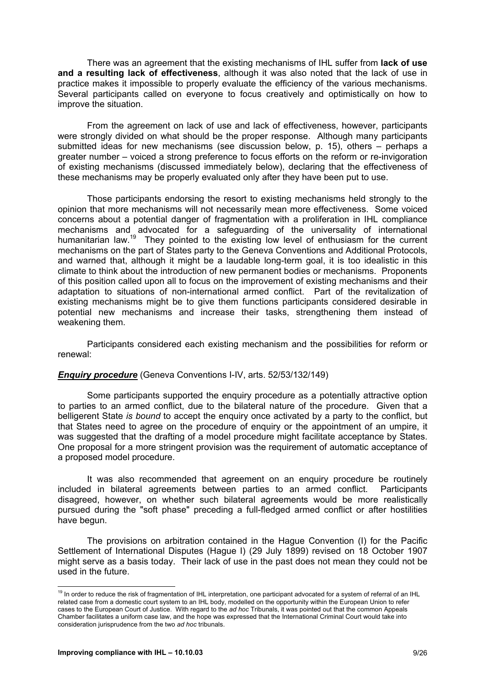There was an agreement that the existing mechanisms of IHL suffer from **lack of use and a resulting lack of effectiveness**, although it was also noted that the lack of use in practice makes it impossible to properly evaluate the efficiency of the various mechanisms. Several participants called on everyone to focus creatively and optimistically on how to improve the situation.

From the agreement on lack of use and lack of effectiveness, however, participants were strongly divided on what should be the proper response. Although many participants submitted ideas for new mechanisms (see discussion below, p. 15), others – perhaps a greater number – voiced a strong preference to focus efforts on the reform or re-invigoration of existing mechanisms (discussed immediately below), declaring that the effectiveness of these mechanisms may be properly evaluated only after they have been put to use.

Those participants endorsing the resort to existing mechanisms held strongly to the opinion that more mechanisms will not necessarily mean more effectiveness. Some voiced concerns about a potential danger of fragmentation with a proliferation in IHL compliance mechanisms and advocated for a safeguarding of the universality of international humanitarian law.<sup>19</sup> They pointed to the existing low level of enthusiasm for the current mechanisms on the part of States party to the Geneva Conventions and Additional Protocols, and warned that, although it might be a laudable long-term goal, it is too idealistic in this climate to think about the introduction of new permanent bodies or mechanisms. Proponents of this position called upon all to focus on the improvement of existing mechanisms and their adaptation to situations of non-international armed conflict. Part of the revitalization of existing mechanisms might be to give them functions participants considered desirable in potential new mechanisms and increase their tasks, strengthening them instead of weakening them.

Participants considered each existing mechanism and the possibilities for reform or renewal:

#### *Enquiry procedure* (Geneva Conventions I-IV, arts. 52/53/132/149)

Some participants supported the enquiry procedure as a potentially attractive option to parties to an armed conflict, due to the bilateral nature of the procedure. Given that a belligerent State *is bound* to accept the enquiry once activated by a party to the conflict, but that States need to agree on the procedure of enquiry or the appointment of an umpire, it was suggested that the drafting of a model procedure might facilitate acceptance by States. One proposal for a more stringent provision was the requirement of automatic acceptance of a proposed model procedure.

It was also recommended that agreement on an enquiry procedure be routinely included in bilateral agreements between parties to an armed conflict. Participants disagreed, however, on whether such bilateral agreements would be more realistically pursued during the "soft phase" preceding a full-fledged armed conflict or after hostilities have begun.

The provisions on arbitration contained in the Hague Convention (I) for the Pacific Settlement of International Disputes (Hague I) (29 July 1899) revised on 18 October 1907 might serve as a basis today. Their lack of use in the past does not mean they could not be used in the future.

 $19$  In order to reduce the risk of fragmentation of IHL interpretation, one participant advocated for a system of referral of an IHL related case from a domestic court system to an IHL body, modelled on the opportunity within the European Union to refer cases to the European Court of Justice. With regard to the *ad hoc* Tribunals, it was pointed out that the common Appeals Chamber facilitates a uniform case law, and the hope was expressed that the International Criminal Court would take into consideration jurisprudence from the two *ad hoc* tribunals.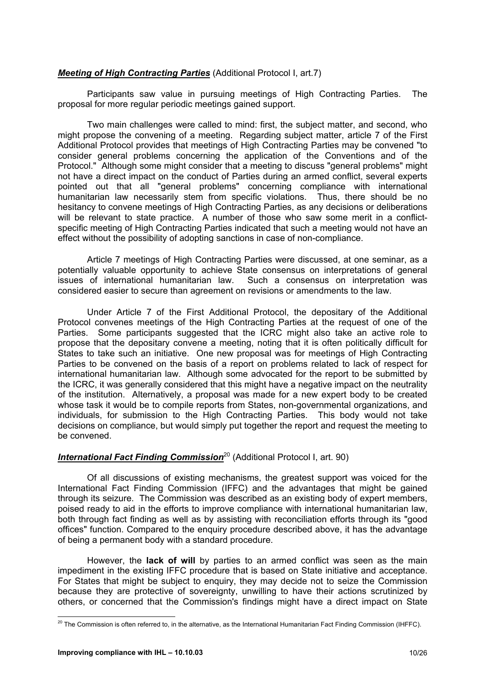#### *Meeting of High Contracting Parties* (Additional Protocol I, art.7)

Participants saw value in pursuing meetings of High Contracting Parties. The proposal for more regular periodic meetings gained support.

Two main challenges were called to mind: first, the subject matter, and second, who might propose the convening of a meeting. Regarding subject matter, article 7 of the First Additional Protocol provides that meetings of High Contracting Parties may be convened "to consider general problems concerning the application of the Conventions and of the Protocol." Although some might consider that a meeting to discuss "general problems" might not have a direct impact on the conduct of Parties during an armed conflict, several experts pointed out that all "general problems" concerning compliance with international humanitarian law necessarily stem from specific violations. Thus, there should be no hesitancy to convene meetings of High Contracting Parties, as any decisions or deliberations will be relevant to state practice. A number of those who saw some merit in a conflictspecific meeting of High Contracting Parties indicated that such a meeting would not have an effect without the possibility of adopting sanctions in case of non-compliance.

Article 7 meetings of High Contracting Parties were discussed, at one seminar, as a potentially valuable opportunity to achieve State consensus on interpretations of general issues of international humanitarian law. Such a consensus on interpretation was considered easier to secure than agreement on revisions or amendments to the law.

Under Article 7 of the First Additional Protocol, the depositary of the Additional Protocol convenes meetings of the High Contracting Parties at the request of one of the Parties. Some participants suggested that the ICRC might also take an active role to propose that the depositary convene a meeting, noting that it is often politically difficult for States to take such an initiative. One new proposal was for meetings of High Contracting Parties to be convened on the basis of a report on problems related to lack of respect for international humanitarian law. Although some advocated for the report to be submitted by the ICRC, it was generally considered that this might have a negative impact on the neutrality of the institution. Alternatively, a proposal was made for a new expert body to be created whose task it would be to compile reports from States, non-governmental organizations, and individuals, for submission to the High Contracting Parties. This body would not take decisions on compliance, but would simply put together the report and request the meeting to be convened.

#### *International Fact Finding Commission*20 (Additional Protocol I, art. 90)

Of all discussions of existing mechanisms, the greatest support was voiced for the International Fact Finding Commission (IFFC) and the advantages that might be gained through its seizure. The Commission was described as an existing body of expert members, poised ready to aid in the efforts to improve compliance with international humanitarian law, both through fact finding as well as by assisting with reconciliation efforts through its "good offices" function. Compared to the enquiry procedure described above, it has the advantage of being a permanent body with a standard procedure.

However, the **lack of will** by parties to an armed conflict was seen as the main impediment in the existing IFFC procedure that is based on State initiative and acceptance. For States that might be subject to enquiry, they may decide not to seize the Commission because they are protective of sovereignty, unwilling to have their actions scrutinized by others, or concerned that the Commission's findings might have a direct impact on State

 $\overline{a}$  $^{20}$  The Commission is often referred to, in the alternative, as the International Humanitarian Fact Finding Commission (IHFFC).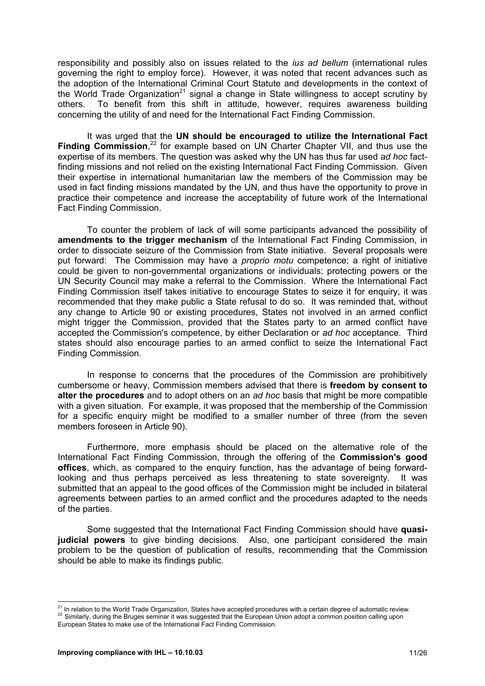responsibility and possibly also on issues related to the *ius ad bellum* (international rules governing the right to employ force). However, it was noted that recent advances such as the adoption of the International Criminal Court Statute and developments in the context of the World Trade Organization<sup>21</sup> signal a change in State willingness to accept scrutiny by others. To benefit from this shift in attitude, however, requires awareness building concerning the utility of and need for the International Fact Finding Commission.

It was urged that the **UN should be encouraged to utilize the International Fact**  Finding Commission,<sup>22</sup> for example based on UN Charter Chapter VII, and thus use the expertise of its members. The question was asked why the UN has thus far used *ad hoc* factfinding missions and not relied on the existing International Fact Finding Commission. Given their expertise in international humanitarian law the members of the Commission may be used in fact finding missions mandated by the UN, and thus have the opportunity to prove in practice their competence and increase the acceptability of future work of the International Fact Finding Commission.

To counter the problem of lack of will some participants advanced the possibility of **amendments to the trigger mechanism** of the International Fact Finding Commission, in order to dissociate seizure of the Commission from State initiative. Several proposals were put forward: The Commission may have a *proprio motu* competence; a right of initiative could be given to non-governmental organizations or individuals; protecting powers or the UN Security Council may make a referral to the Commission. Where the International Fact Finding Commission itself takes initiative to encourage States to seize it for enquiry, it was recommended that they make public a State refusal to do so. It was reminded that, without any change to Article 90 or existing procedures, States not involved in an armed conflict might trigger the Commission, provided that the States party to an armed conflict have accepted the Commission's competence, by either Declaration or *ad hoc* acceptance. Third states should also encourage parties to an armed conflict to seize the International Fact Finding Commission.

In response to concerns that the procedures of the Commission are prohibitively cumbersome or heavy, Commission members advised that there is **freedom by consent to alter the procedures** and to adopt others on an *ad hoc* basis that might be more compatible with a given situation. For example, it was proposed that the membership of the Commission for a specific enquiry might be modified to a smaller number of three (from the seven members foreseen in Article 90).

Furthermore, more emphasis should be placed on the alternative role of the International Fact Finding Commission, through the offering of the **Commission's good offices**, which, as compared to the enquiry function, has the advantage of being forwardlooking and thus perhaps perceived as less threatening to state sovereignty. It was submitted that an appeal to the good offices of the Commission might be included in bilateral agreements between parties to an armed conflict and the procedures adapted to the needs of the parties.

Some suggested that the International Fact Finding Commission should have **quasijudicial powers** to give binding decisions. Also, one participant considered the main problem to be the question of publication of results, recommending that the Commission should be able to make its findings public.

<sup>&</sup>lt;sup>21</sup> In relation to the World Trade Organization. States have accepted procedures with a certain degree of automatic review. 22 Similarly, during the Bruges seminar it was suggested that the European Union adopt a common position calling upon

European States to make use of the International Fact Finding Commission.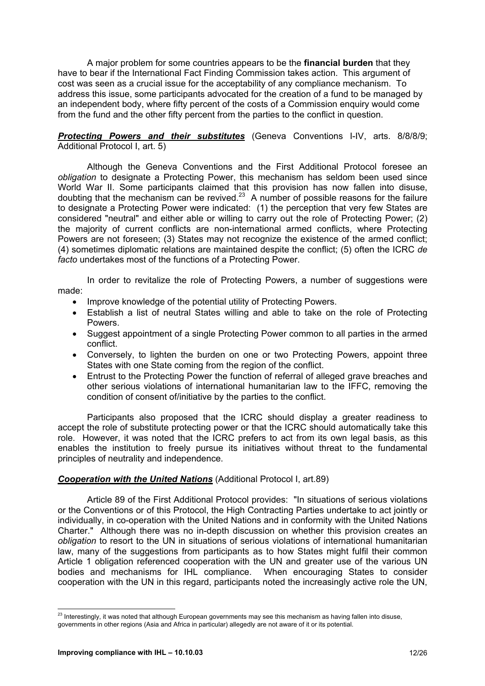A major problem for some countries appears to be the **financial burden** that they have to bear if the International Fact Finding Commission takes action. This argument of cost was seen as a crucial issue for the acceptability of any compliance mechanism. To address this issue, some participants advocated for the creation of a fund to be managed by an independent body, where fifty percent of the costs of a Commission enquiry would come from the fund and the other fifty percent from the parties to the conflict in question.

#### *Protecting Powers and their substitutes* (Geneva Conventions I-IV, arts. 8/8/8/9; Additional Protocol I, art. 5)

Although the Geneva Conventions and the First Additional Protocol foresee an *obligation* to designate a Protecting Power, this mechanism has seldom been used since World War II. Some participants claimed that this provision has now fallen into disuse, doubting that the mechanism can be revived.23 A number of possible reasons for the failure to designate a Protecting Power were indicated: (1) the perception that very few States are considered "neutral" and either able or willing to carry out the role of Protecting Power; (2) the majority of current conflicts are non-international armed conflicts, where Protecting Powers are not foreseen; (3) States may not recognize the existence of the armed conflict; (4) sometimes diplomatic relations are maintained despite the conflict; (5) often the ICRC *de facto* undertakes most of the functions of a Protecting Power.

In order to revitalize the role of Protecting Powers, a number of suggestions were made:

- Improve knowledge of the potential utility of Protecting Powers.
- Establish a list of neutral States willing and able to take on the role of Protecting Powers.
- Suggest appointment of a single Protecting Power common to all parties in the armed conflict.
- Conversely, to lighten the burden on one or two Protecting Powers, appoint three States with one State coming from the region of the conflict.
- Entrust to the Protecting Power the function of referral of alleged grave breaches and other serious violations of international humanitarian law to the IFFC, removing the condition of consent of/initiative by the parties to the conflict.

Participants also proposed that the ICRC should display a greater readiness to accept the role of substitute protecting power or that the ICRC should automatically take this role. However, it was noted that the ICRC prefers to act from its own legal basis, as this enables the institution to freely pursue its initiatives without threat to the fundamental principles of neutrality and independence.

#### *Cooperation with the United Nations* (Additional Protocol I, art.89)

Article 89 of the First Additional Protocol provides: "In situations of serious violations or the Conventions or of this Protocol, the High Contracting Parties undertake to act jointly or individually, in co-operation with the United Nations and in conformity with the United Nations Charter." Although there was no in-depth discussion on whether this provision creates an *obligation* to resort to the UN in situations of serious violations of international humanitarian law, many of the suggestions from participants as to how States might fulfil their common Article 1 obligation referenced cooperation with the UN and greater use of the various UN bodies and mechanisms for IHL compliance. When encouraging States to consider cooperation with the UN in this regard, participants noted the increasingly active role the UN,

 $^{23}$  Interestingly, it was noted that although European governments may see this mechanism as having fallen into disuse, governments in other regions (Asia and Africa in particular) allegedly are not aware of it or its potential.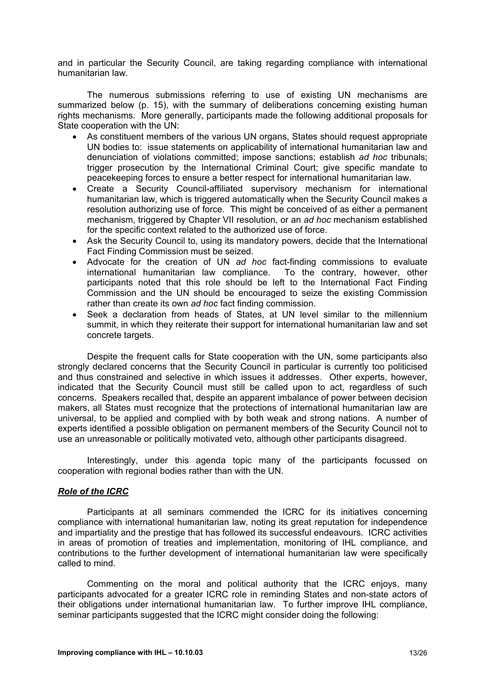and in particular the Security Council, are taking regarding compliance with international humanitarian law.

The numerous submissions referring to use of existing UN mechanisms are summarized below (p. 15), with the summary of deliberations concerning existing human rights mechanisms. More generally, participants made the following additional proposals for State cooperation with the UN:

- As constituent members of the various UN organs, States should request appropriate UN bodies to: issue statements on applicability of international humanitarian law and denunciation of violations committed; impose sanctions; establish *ad hoc* tribunals; trigger prosecution by the International Criminal Court; give specific mandate to peacekeeping forces to ensure a better respect for international humanitarian law.
- Create a Security Council-affiliated supervisory mechanism for international humanitarian law, which is triggered automatically when the Security Council makes a resolution authorizing use of force. This might be conceived of as either a permanent mechanism, triggered by Chapter VII resolution, or an *ad hoc* mechanism established for the specific context related to the authorized use of force.
- Ask the Security Council to, using its mandatory powers, decide that the International Fact Finding Commission must be seized.
- Advocate for the creation of UN *ad hoc* fact-finding commissions to evaluate international humanitarian law compliance. To the contrary, however, other participants noted that this role should be left to the International Fact Finding Commission and the UN should be encouraged to seize the existing Commission rather than create its own *ad hoc* fact finding commission.
- Seek a declaration from heads of States, at UN level similar to the millennium summit, in which they reiterate their support for international humanitarian law and set concrete targets.

Despite the frequent calls for State cooperation with the UN, some participants also strongly declared concerns that the Security Council in particular is currently too politicised and thus constrained and selective in which issues it addresses. Other experts, however, indicated that the Security Council must still be called upon to act, regardless of such concerns. Speakers recalled that, despite an apparent imbalance of power between decision makers, all States must recognize that the protections of international humanitarian law are universal, to be applied and complied with by both weak and strong nations. A number of experts identified a possible obligation on permanent members of the Security Council not to use an unreasonable or politically motivated veto, although other participants disagreed.

Interestingly, under this agenda topic many of the participants focussed on cooperation with regional bodies rather than with the UN.

#### *Role of the ICRC*

Participants at all seminars commended the ICRC for its initiatives concerning compliance with international humanitarian law, noting its great reputation for independence and impartiality and the prestige that has followed its successful endeavours. ICRC activities in areas of promotion of treaties and implementation, monitoring of IHL compliance, and contributions to the further development of international humanitarian law were specifically called to mind.

Commenting on the moral and political authority that the ICRC enjoys, many participants advocated for a greater ICRC role in reminding States and non-state actors of their obligations under international humanitarian law. To further improve IHL compliance, seminar participants suggested that the ICRC might consider doing the following: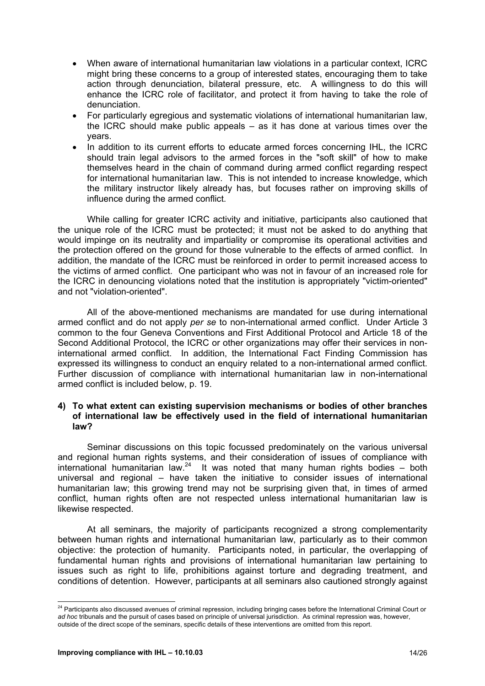- When aware of international humanitarian law violations in a particular context, ICRC might bring these concerns to a group of interested states, encouraging them to take action through denunciation, bilateral pressure, etc. A willingness to do this will enhance the ICRC role of facilitator, and protect it from having to take the role of denunciation.
- For particularly egregious and systematic violations of international humanitarian law, the ICRC should make public appeals – as it has done at various times over the years.
- In addition to its current efforts to educate armed forces concerning IHL, the ICRC should train legal advisors to the armed forces in the "soft skill" of how to make themselves heard in the chain of command during armed conflict regarding respect for international humanitarian law. This is not intended to increase knowledge, which the military instructor likely already has, but focuses rather on improving skills of influence during the armed conflict.

While calling for greater ICRC activity and initiative, participants also cautioned that the unique role of the ICRC must be protected; it must not be asked to do anything that would impinge on its neutrality and impartiality or compromise its operational activities and the protection offered on the ground for those vulnerable to the effects of armed conflict. In addition, the mandate of the ICRC must be reinforced in order to permit increased access to the victims of armed conflict. One participant who was not in favour of an increased role for the ICRC in denouncing violations noted that the institution is appropriately "victim-oriented" and not "violation-oriented".

All of the above-mentioned mechanisms are mandated for use during international armed conflict and do not apply *per se* to non-international armed conflict. Under Article 3 common to the four Geneva Conventions and First Additional Protocol and Article 18 of the Second Additional Protocol, the ICRC or other organizations may offer their services in noninternational armed conflict. In addition, the International Fact Finding Commission has expressed its willingness to conduct an enquiry related to a non-international armed conflict. Further discussion of compliance with international humanitarian law in non-international armed conflict is included below, p. 19.

#### **4) To what extent can existing supervision mechanisms or bodies of other branches of international law be effectively used in the field of international humanitarian law?**

Seminar discussions on this topic focussed predominately on the various universal and regional human rights systems, and their consideration of issues of compliance with international humanitarian law.<sup>24</sup> It was noted that many human rights bodies – both universal and regional – have taken the initiative to consider issues of international humanitarian law; this growing trend may not be surprising given that, in times of armed conflict, human rights often are not respected unless international humanitarian law is likewise respected.

At all seminars, the majority of participants recognized a strong complementarity between human rights and international humanitarian law, particularly as to their common objective: the protection of humanity. Participants noted, in particular, the overlapping of fundamental human rights and provisions of international humanitarian law pertaining to issues such as right to life, prohibitions against torture and degrading treatment, and conditions of detention. However, participants at all seminars also cautioned strongly against

 <sup>24</sup> Participants also discussed avenues of criminal repression, including bringing cases before the International Criminal Court or *ad hoc* tribunals and the pursuit of cases based on principle of universal jurisdiction. As criminal repression was, however, outside of the direct scope of the seminars, specific details of these interventions are omitted from this report.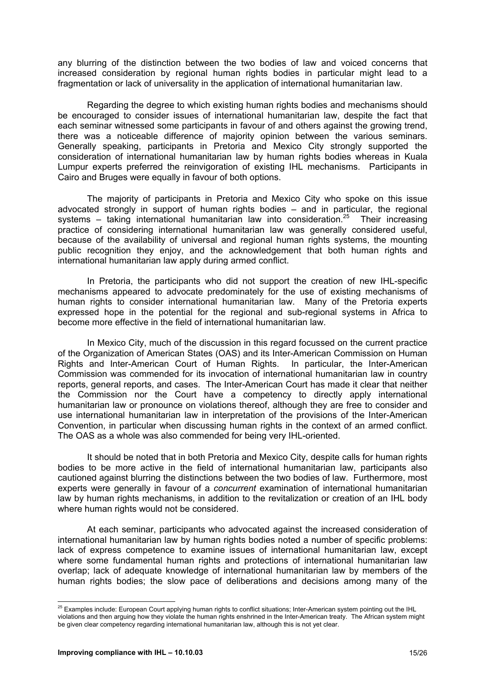any blurring of the distinction between the two bodies of law and voiced concerns that increased consideration by regional human rights bodies in particular might lead to a fragmentation or lack of universality in the application of international humanitarian law.

Regarding the degree to which existing human rights bodies and mechanisms should be encouraged to consider issues of international humanitarian law, despite the fact that each seminar witnessed some participants in favour of and others against the growing trend, there was a noticeable difference of majority opinion between the various seminars. Generally speaking, participants in Pretoria and Mexico City strongly supported the consideration of international humanitarian law by human rights bodies whereas in Kuala Lumpur experts preferred the reinvigoration of existing IHL mechanisms. Participants in Cairo and Bruges were equally in favour of both options.

The majority of participants in Pretoria and Mexico City who spoke on this issue advocated strongly in support of human rights bodies – and in particular, the regional systems – taking international humanitarian law into consideration.<sup>25</sup> Their increasing practice of considering international humanitarian law was generally considered useful, because of the availability of universal and regional human rights systems, the mounting public recognition they enjoy, and the acknowledgement that both human rights and international humanitarian law apply during armed conflict.

In Pretoria, the participants who did not support the creation of new IHL-specific mechanisms appeared to advocate predominately for the use of existing mechanisms of human rights to consider international humanitarian law. Many of the Pretoria experts expressed hope in the potential for the regional and sub-regional systems in Africa to become more effective in the field of international humanitarian law.

In Mexico City, much of the discussion in this regard focussed on the current practice of the Organization of American States (OAS) and its Inter-American Commission on Human Rights and Inter-American Court of Human Rights. In particular, the Inter-American Commission was commended for its invocation of international humanitarian law in country reports, general reports, and cases. The Inter-American Court has made it clear that neither the Commission nor the Court have a competency to directly apply international humanitarian law or pronounce on violations thereof, although they are free to consider and use international humanitarian law in interpretation of the provisions of the Inter-American Convention, in particular when discussing human rights in the context of an armed conflict. The OAS as a whole was also commended for being very IHL-oriented.

It should be noted that in both Pretoria and Mexico City, despite calls for human rights bodies to be more active in the field of international humanitarian law, participants also cautioned against blurring the distinctions between the two bodies of law. Furthermore, most experts were generally in favour of a *concurrent* examination of international humanitarian law by human rights mechanisms, in addition to the revitalization or creation of an IHL body where human rights would not be considered.

At each seminar, participants who advocated against the increased consideration of international humanitarian law by human rights bodies noted a number of specific problems: lack of express competence to examine issues of international humanitarian law, except where some fundamental human rights and protections of international humanitarian law overlap; lack of adequate knowledge of international humanitarian law by members of the human rights bodies; the slow pace of deliberations and decisions among many of the

  $^{25}$  Examples include: European Court applying human rights to conflict situations; Inter-American system pointing out the IHL violations and then arguing how they violate the human rights enshrined in the Inter-American treaty. The African system might be given clear competency regarding international humanitarian law, although this is not yet clear.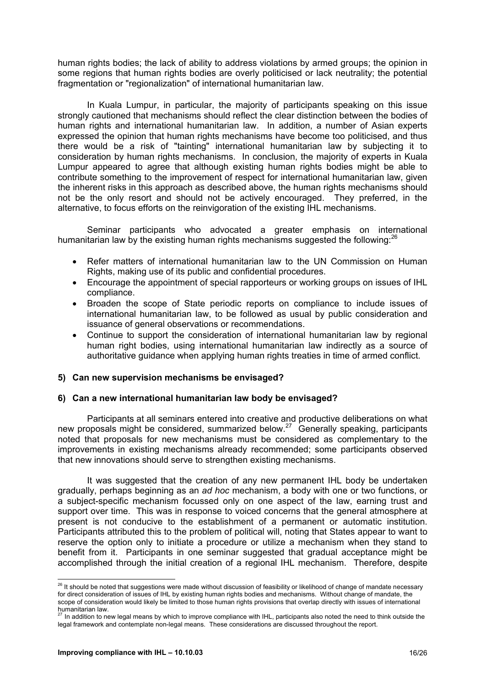human rights bodies; the lack of ability to address violations by armed groups; the opinion in some regions that human rights bodies are overly politicised or lack neutrality; the potential fragmentation or "regionalization" of international humanitarian law.

In Kuala Lumpur, in particular, the majority of participants speaking on this issue strongly cautioned that mechanisms should reflect the clear distinction between the bodies of human rights and international humanitarian law. In addition, a number of Asian experts expressed the opinion that human rights mechanisms have become too politicised, and thus there would be a risk of "tainting" international humanitarian law by subjecting it to consideration by human rights mechanisms. In conclusion, the majority of experts in Kuala Lumpur appeared to agree that although existing human rights bodies might be able to contribute something to the improvement of respect for international humanitarian law, given the inherent risks in this approach as described above, the human rights mechanisms should not be the only resort and should not be actively encouraged. They preferred, in the alternative, to focus efforts on the reinvigoration of the existing IHL mechanisms.

Seminar participants who advocated a greater emphasis on international humanitarian law by the existing human rights mechanisms suggested the following: $^{26}$ 

- Refer matters of international humanitarian law to the UN Commission on Human Rights, making use of its public and confidential procedures.
- Encourage the appointment of special rapporteurs or working groups on issues of IHL compliance.
- Broaden the scope of State periodic reports on compliance to include issues of international humanitarian law, to be followed as usual by public consideration and issuance of general observations or recommendations.
- Continue to support the consideration of international humanitarian law by regional human right bodies, using international humanitarian law indirectly as a source of authoritative guidance when applying human rights treaties in time of armed conflict.

#### **5) Can new supervision mechanisms be envisaged?**

#### **6) Can a new international humanitarian law body be envisaged?**

Participants at all seminars entered into creative and productive deliberations on what new proposals might be considered, summarized below.27 Generally speaking, participants noted that proposals for new mechanisms must be considered as complementary to the improvements in existing mechanisms already recommended; some participants observed that new innovations should serve to strengthen existing mechanisms.

It was suggested that the creation of any new permanent IHL body be undertaken gradually, perhaps beginning as an *ad hoc* mechanism, a body with one or two functions, or a subject-specific mechanism focussed only on one aspect of the law, earning trust and support over time. This was in response to voiced concerns that the general atmosphere at present is not conducive to the establishment of a permanent or automatic institution. Participants attributed this to the problem of political will, noting that States appear to want to reserve the option only to initiate a procedure or utilize a mechanism when they stand to benefit from it. Participants in one seminar suggested that gradual acceptance might be accomplished through the initial creation of a regional IHL mechanism. Therefore, despite

 $^{26}$  It should be noted that suggestions were made without discussion of feasibility or likelihood of change of mandate necessary for direct consideration of issues of IHL by existing human rights bodies and mechanisms. Without change of mandate, the scope of consideration would likely be limited to those human rights provisions that overlap directly with issues of international  $h$ umanitarian law.<br> $\frac{27}{10}$ 

In addition to new legal means by which to improve compliance with IHL, participants also noted the need to think outside the legal framework and contemplate non-legal means. These considerations are discussed throughout the report.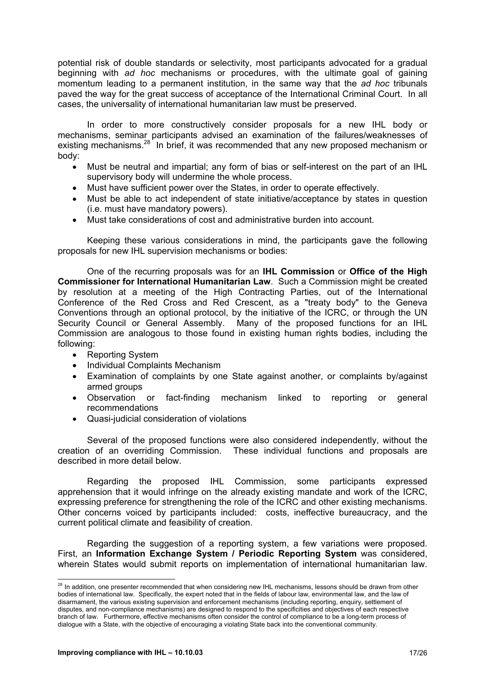potential risk of double standards or selectivity, most participants advocated for a gradual beginning with *ad hoc* mechanisms or procedures, with the ultimate goal of gaining momentum leading to a permanent institution, in the same way that the *ad hoc* tribunals paved the way for the great success of acceptance of the International Criminal Court. In all cases, the universality of international humanitarian law must be preserved.

In order to more constructively consider proposals for a new IHL body or mechanisms, seminar participants advised an examination of the failures/weaknesses of existing mechanisms.<sup>28</sup> In brief, it was recommended that any new proposed mechanism or body:

- Must be neutral and impartial; any form of bias or self-interest on the part of an IHL supervisory body will undermine the whole process.
- Must have sufficient power over the States, in order to operate effectively.
- Must be able to act independent of state initiative/acceptance by states in question (i.e. must have mandatory powers).
- Must take considerations of cost and administrative burden into account.

Keeping these various considerations in mind, the participants gave the following proposals for new IHL supervision mechanisms or bodies:

One of the recurring proposals was for an **IHL Commission** or **Office of the High Commissioner for International Humanitarian Law**. Such a Commission might be created by resolution at a meeting of the High Contracting Parties, out of the International Conference of the Red Cross and Red Crescent, as a "treaty body" to the Geneva Conventions through an optional protocol, by the initiative of the ICRC, or through the UN Security Council or General Assembly. Many of the proposed functions for an IHL Commission are analogous to those found in existing human rights bodies, including the following:

- Reporting System
- Individual Complaints Mechanism
- Examination of complaints by one State against another, or complaints by/against armed groups
- Observation or fact-finding mechanism linked to reporting or general recommendations
- Quasi-judicial consideration of violations

Several of the proposed functions were also considered independently, without the creation of an overriding Commission. These individual functions and proposals are described in more detail below.

Regarding the proposed IHL Commission, some participants expressed apprehension that it would infringe on the already existing mandate and work of the ICRC, expressing preference for strengthening the role of the ICRC and other existing mechanisms. Other concerns voiced by participants included: costs, ineffective bureaucracy, and the current political climate and feasibility of creation.

Regarding the suggestion of a reporting system, a few variations were proposed. First, an **Information Exchange System / Periodic Reporting System** was considered, wherein States would submit reports on implementation of international humanitarian law.

 $^{28}$  In addition, one presenter recommended that when considering new IHL mechanisms, lessons should be drawn from other bodies of international law. Specifically, the expert noted that in the fields of labour law, environmental law, and the law of disarmament, the various existing supervision and enforcement mechanisms (including reporting, enquiry, settlement of disputes, and non-compliance mechanisms) are designed to respond to the specificities and objectives of each respective branch of law. Furthermore, effective mechanisms often consider the control of compliance to be a long-term process of dialogue with a State, with the objective of encouraging a violating State back into the conventional community.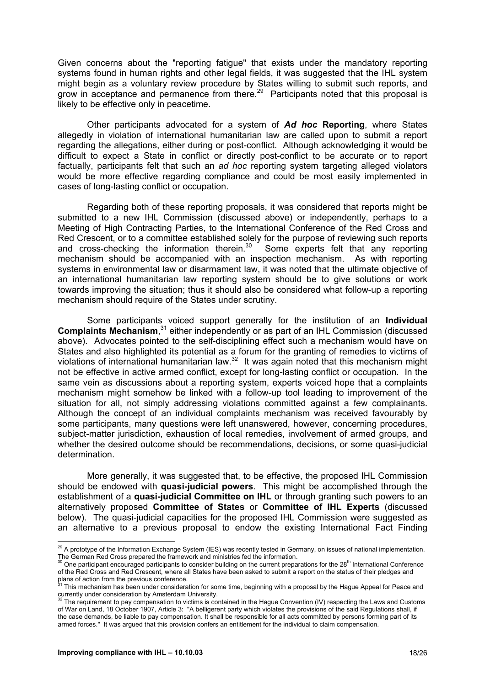Given concerns about the "reporting fatigue" that exists under the mandatory reporting systems found in human rights and other legal fields, it was suggested that the IHL system might begin as a voluntary review procedure by States willing to submit such reports, and grow in acceptance and permanence from there.<sup>29</sup> Participants noted that this proposal is likely to be effective only in peacetime.

Other participants advocated for a system of *Ad hoc* **Reporting**, where States allegedly in violation of international humanitarian law are called upon to submit a report regarding the allegations, either during or post-conflict. Although acknowledging it would be difficult to expect a State in conflict or directly post-conflict to be accurate or to report factually, participants felt that such an *ad hoc* reporting system targeting alleged violators would be more effective regarding compliance and could be most easily implemented in cases of long-lasting conflict or occupation.

Regarding both of these reporting proposals, it was considered that reports might be submitted to a new IHL Commission (discussed above) or independently, perhaps to a Meeting of High Contracting Parties, to the International Conference of the Red Cross and Red Crescent, or to a committee established solely for the purpose of reviewing such reports and cross-checking the information therein.<sup>30</sup> Some experts felt that any reporting mechanism should be accompanied with an inspection mechanism. As with reporting systems in environmental law or disarmament law, it was noted that the ultimate objective of an international humanitarian law reporting system should be to give solutions or work towards improving the situation; thus it should also be considered what follow-up a reporting mechanism should require of the States under scrutiny.

Some participants voiced support generally for the institution of an **Individual**  Complaints Mechanism,<sup>31</sup> either independently or as part of an IHL Commission (discussed above). Advocates pointed to the self-disciplining effect such a mechanism would have on States and also highlighted its potential as a forum for the granting of remedies to victims of violations of international humanitarian law.<sup>32</sup> It was again noted that this mechanism might not be effective in active armed conflict, except for long-lasting conflict or occupation. In the same vein as discussions about a reporting system, experts voiced hope that a complaints mechanism might somehow be linked with a follow-up tool leading to improvement of the situation for all, not simply addressing violations committed against a few complainants. Although the concept of an individual complaints mechanism was received favourably by some participants, many questions were left unanswered, however, concerning procedures, subject-matter jurisdiction, exhaustion of local remedies, involvement of armed groups, and whether the desired outcome should be recommendations, decisions, or some quasi-judicial determination.

More generally, it was suggested that, to be effective, the proposed IHL Commission should be endowed with **quasi-judicial powers**. This might be accomplished through the establishment of a **quasi-judicial Committee on IHL** or through granting such powers to an alternatively proposed **Committee of States** or **Committee of IHL Experts** (discussed below). The quasi-judicial capacities for the proposed IHL Commission were suggested as an alternative to a previous proposal to endow the existing International Fact Finding

  $^{29}$  A prototype of the Information Exchange System (IES) was recently tested in Germany, on issues of national implementation.

The German Red Cross prepared the framework and ministries fed the information.<br><sup>30</sup> One participant encouraged participants to consider building on the current preparations for the 28<sup>th</sup> International Conference of the Red Cross and Red Crescent, where all States have been asked to submit a report on the status of their pledges and plans of action from the previous conference.

This mechanism has been under consideration for some time, beginning with a proposal by the Hague Appeal for Peace and currently under consideration by Amsterdam University.<br><sup>32</sup> The requirement to pay compensation to victims is contained in the Hague Convention (IV) respecting the Laws and Customs

of War on Land, 18 October 1907, Article 3: "A belligerent party which violates the provisions of the said Regulations shall, if the case demands, be liable to pay compensation. It shall be responsible for all acts committed by persons forming part of its armed forces." It was argued that this provision confers an entitlement for the individual to claim compensation.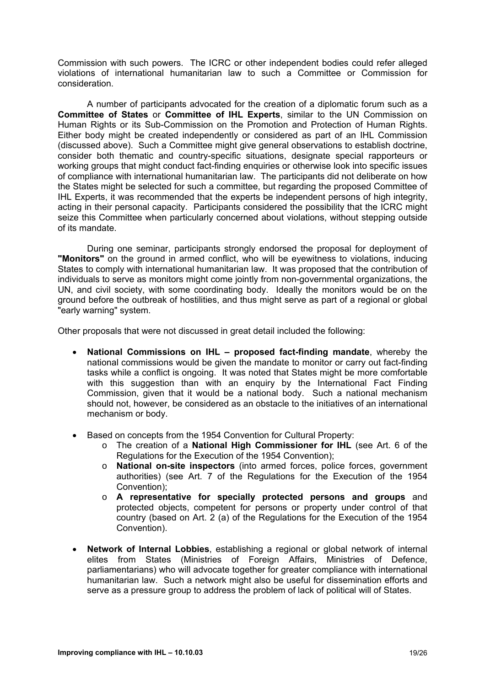Commission with such powers. The ICRC or other independent bodies could refer alleged violations of international humanitarian law to such a Committee or Commission for consideration.

A number of participants advocated for the creation of a diplomatic forum such as a **Committee of States** or **Committee of IHL Experts**, similar to the UN Commission on Human Rights or its Sub-Commission on the Promotion and Protection of Human Rights. Either body might be created independently or considered as part of an IHL Commission (discussed above). Such a Committee might give general observations to establish doctrine, consider both thematic and country-specific situations, designate special rapporteurs or working groups that might conduct fact-finding enquiries or otherwise look into specific issues of compliance with international humanitarian law. The participants did not deliberate on how the States might be selected for such a committee, but regarding the proposed Committee of IHL Experts, it was recommended that the experts be independent persons of high integrity, acting in their personal capacity. Participants considered the possibility that the ICRC might seize this Committee when particularly concerned about violations, without stepping outside of its mandate.

During one seminar, participants strongly endorsed the proposal for deployment of **"Monitors"** on the ground in armed conflict, who will be eyewitness to violations, inducing States to comply with international humanitarian law. It was proposed that the contribution of individuals to serve as monitors might come jointly from non-governmental organizations, the UN, and civil society, with some coordinating body. Ideally the monitors would be on the ground before the outbreak of hostilities, and thus might serve as part of a regional or global "early warning" system.

Other proposals that were not discussed in great detail included the following:

- **National Commissions on IHL proposed fact-finding mandate**, whereby the national commissions would be given the mandate to monitor or carry out fact-finding tasks while a conflict is ongoing. It was noted that States might be more comfortable with this suggestion than with an enquiry by the International Fact Finding Commission, given that it would be a national body. Such a national mechanism should not, however, be considered as an obstacle to the initiatives of an international mechanism or body.
- Based on concepts from the 1954 Convention for Cultural Property:
	- o The creation of a **National High Commissioner for IHL** (see Art. 6 of the Regulations for the Execution of the 1954 Convention);
	- o **National on-site inspectors** (into armed forces, police forces, government authorities) (see Art. 7 of the Regulations for the Execution of the 1954 Convention);
	- o **A representative for specially protected persons and groups** and protected objects, competent for persons or property under control of that country (based on Art. 2 (a) of the Regulations for the Execution of the 1954 Convention).
- **Network of Internal Lobbies**, establishing a regional or global network of internal elites from States (Ministries of Foreign Affairs, Ministries of Defence, parliamentarians) who will advocate together for greater compliance with international humanitarian law.Such a network might also be useful for dissemination efforts and serve as a pressure group to address the problem of lack of political will of States.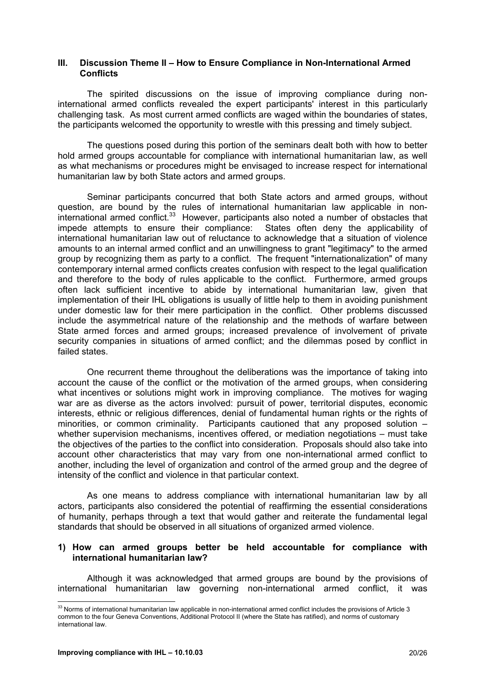#### **III. Discussion Theme II – How to Ensure Compliance in Non-International Armed Conflicts**

The spirited discussions on the issue of improving compliance during noninternational armed conflicts revealed the expert participants' interest in this particularly challenging task. As most current armed conflicts are waged within the boundaries of states, the participants welcomed the opportunity to wrestle with this pressing and timely subject.

The questions posed during this portion of the seminars dealt both with how to better hold armed groups accountable for compliance with international humanitarian law, as well as what mechanisms or procedures might be envisaged to increase respect for international humanitarian law by both State actors and armed groups.

Seminar participants concurred that both State actors and armed groups, without question, are bound by the rules of international humanitarian law applicable in noninternational armed conflict.<sup>33</sup> However, participants also noted a number of obstacles that impede attempts to ensure their compliance: States often deny the applicability of international humanitarian law out of reluctance to acknowledge that a situation of violence amounts to an internal armed conflict and an unwillingness to grant "legitimacy" to the armed group by recognizing them as party to a conflict. The frequent "internationalization" of many contemporary internal armed conflicts creates confusion with respect to the legal qualification and therefore to the body of rules applicable to the conflict. Furthermore, armed groups often lack sufficient incentive to abide by international humanitarian law, given that implementation of their IHL obligations is usually of little help to them in avoiding punishment under domestic law for their mere participation in the conflict. Other problems discussed include the asymmetrical nature of the relationship and the methods of warfare between State armed forces and armed groups; increased prevalence of involvement of private security companies in situations of armed conflict; and the dilemmas posed by conflict in failed states.

One recurrent theme throughout the deliberations was the importance of taking into account the cause of the conflict or the motivation of the armed groups, when considering what incentives or solutions might work in improving compliance. The motives for waging war are as diverse as the actors involved: pursuit of power, territorial disputes, economic interests, ethnic or religious differences, denial of fundamental human rights or the rights of minorities, or common criminality. Participants cautioned that any proposed solution – whether supervision mechanisms, incentives offered, or mediation negotiations – must take the objectives of the parties to the conflict into consideration. Proposals should also take into account other characteristics that may vary from one non-international armed conflict to another, including the level of organization and control of the armed group and the degree of intensity of the conflict and violence in that particular context.

As one means to address compliance with international humanitarian law by all actors, participants also considered the potential of reaffirming the essential considerations of humanity, perhaps through a text that would gather and reiterate the fundamental legal standards that should be observed in all situations of organized armed violence.

#### **1) How can armed groups better be held accountable for compliance with international humanitarian law?**

Although it was acknowledged that armed groups are bound by the provisions of international humanitarian law governing non-international armed conflict, it was

 $33$  Norms of international humanitarian law applicable in non-international armed conflict includes the provisions of Article 3 common to the four Geneva Conventions, Additional Protocol II (where the State has ratified), and norms of customary international law.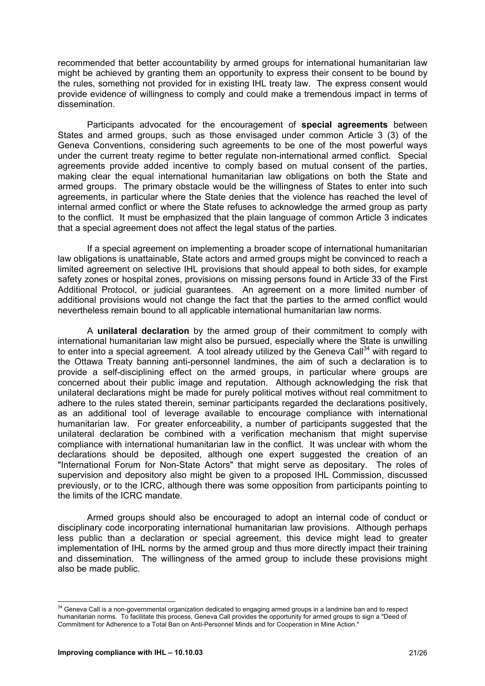recommended that better accountability by armed groups for international humanitarian law might be achieved by granting them an opportunity to express their consent to be bound by the rules, something not provided for in existing IHL treaty law. The express consent would provide evidence of willingness to comply and could make a tremendous impact in terms of dissemination.

Participants advocated for the encouragement of **special agreements** between States and armed groups, such as those envisaged under common Article 3 (3) of the Geneva Conventions, considering such agreements to be one of the most powerful ways under the current treaty regime to better regulate non-international armed conflict. Special agreements provide added incentive to comply based on mutual consent of the parties, making clear the equal international humanitarian law obligations on both the State and armed groups. The primary obstacle would be the willingness of States to enter into such agreements, in particular where the State denies that the violence has reached the level of internal armed conflict or where the State refuses to acknowledge the armed group as party to the conflict. It must be emphasized that the plain language of common Article 3 indicates that a special agreement does not affect the legal status of the parties.

If a special agreement on implementing a broader scope of international humanitarian law obligations is unattainable, State actors and armed groups might be convinced to reach a limited agreement on selective IHL provisions that should appeal to both sides, for example safety zones or hospital zones, provisions on missing persons found in Article 33 of the First Additional Protocol, or judicial guarantees. An agreement on a more limited number of additional provisions would not change the fact that the parties to the armed conflict would nevertheless remain bound to all applicable international humanitarian law norms.

A **unilateral declaration** by the armed group of their commitment to comply with international humanitarian law might also be pursued, especially where the State is unwilling to enter into a special agreement. A tool already utilized by the Geneva Call<sup>34</sup> with regard to the Ottawa Treaty banning anti-personnel landmines, the aim of such a declaration is to provide a self-disciplining effect on the armed groups, in particular where groups are concerned about their public image and reputation. Although acknowledging the risk that unilateral declarations might be made for purely political motives without real commitment to adhere to the rules stated therein, seminar participants regarded the declarations positively, as an additional tool of leverage available to encourage compliance with international humanitarian law. For greater enforceability, a number of participants suggested that the unilateral declaration be combined with a verification mechanism that might supervise compliance with international humanitarian law in the conflict. It was unclear with whom the declarations should be deposited, although one expert suggested the creation of an "International Forum for Non-State Actors" that might serve as depositary. The roles of supervision and depository also might be given to a proposed IHL Commission, discussed previously, or to the ICRC, although there was some opposition from participants pointing to the limits of the ICRC mandate.

Armed groups should also be encouraged to adopt an internal code of conduct or disciplinary code incorporating international humanitarian law provisions. Although perhaps less public than a declaration or special agreement, this device might lead to greater implementation of IHL norms by the armed group and thus more directly impact their training and dissemination. The willingness of the armed group to include these provisions might also be made public.

  $34$  Geneva Call is a non-governmental organization dedicated to engaging armed groups in a landmine ban and to respect humanitarian norms. To facilitate this process, Geneva Call provides the opportunity for armed groups to sign a "Deed of Commitment for Adherence to a Total Ban on Anti-Personnel Minds and for Cooperation in Mine Action."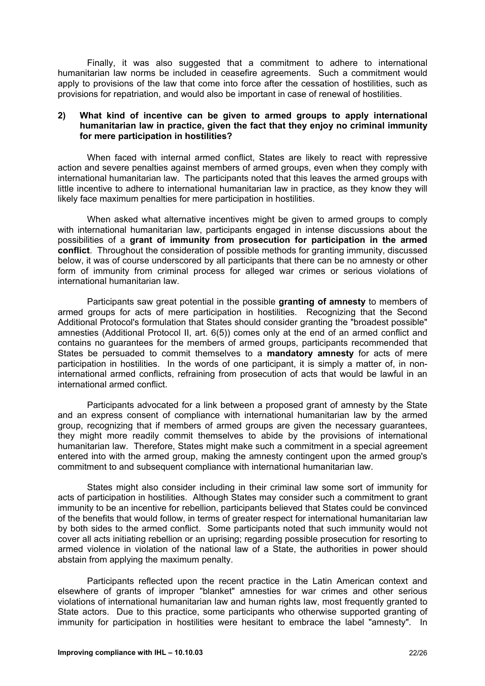Finally, it was also suggested that a commitment to adhere to international humanitarian law norms be included in ceasefire agreements. Such a commitment would apply to provisions of the law that come into force after the cessation of hostilities, such as provisions for repatriation, and would also be important in case of renewal of hostilities.

#### **2) What kind of incentive can be given to armed groups to apply international humanitarian law in practice, given the fact that they enjoy no criminal immunity for mere participation in hostilities?**

When faced with internal armed conflict, States are likely to react with repressive action and severe penalties against members of armed groups, even when they comply with international humanitarian law. The participants noted that this leaves the armed groups with little incentive to adhere to international humanitarian law in practice, as they know they will likely face maximum penalties for mere participation in hostilities.

When asked what alternative incentives might be given to armed groups to comply with international humanitarian law, participants engaged in intense discussions about the possibilities of a **grant of immunity from prosecution for participation in the armed conflict**. Throughout the consideration of possible methods for granting immunity, discussed below, it was of course underscored by all participants that there can be no amnesty or other form of immunity from criminal process for alleged war crimes or serious violations of international humanitarian law.

Participants saw great potential in the possible **granting of amnesty** to members of armed groups for acts of mere participation in hostilities. Recognizing that the Second Additional Protocol's formulation that States should consider granting the "broadest possible" amnesties (Additional Protocol II, art. 6(5)) comes only at the end of an armed conflict and contains no guarantees for the members of armed groups, participants recommended that States be persuaded to commit themselves to a **mandatory amnesty** for acts of mere participation in hostilities. In the words of one participant, it is simply a matter of, in noninternational armed conflicts, refraining from prosecution of acts that would be lawful in an international armed conflict.

Participants advocated for a link between a proposed grant of amnesty by the State and an express consent of compliance with international humanitarian law by the armed group, recognizing that if members of armed groups are given the necessary guarantees, they might more readily commit themselves to abide by the provisions of international humanitarian law. Therefore, States might make such a commitment in a special agreement entered into with the armed group, making the amnesty contingent upon the armed group's commitment to and subsequent compliance with international humanitarian law.

States might also consider including in their criminal law some sort of immunity for acts of participation in hostilities. Although States may consider such a commitment to grant immunity to be an incentive for rebellion, participants believed that States could be convinced of the benefits that would follow, in terms of greater respect for international humanitarian law by both sides to the armed conflict. Some participants noted that such immunity would not cover all acts initiating rebellion or an uprising; regarding possible prosecution for resorting to armed violence in violation of the national law of a State, the authorities in power should abstain from applying the maximum penalty.

Participants reflected upon the recent practice in the Latin American context and elsewhere of grants of improper "blanket" amnesties for war crimes and other serious violations of international humanitarian law and human rights law, most frequently granted to State actors. Due to this practice, some participants who otherwise supported granting of immunity for participation in hostilities were hesitant to embrace the label "amnesty". In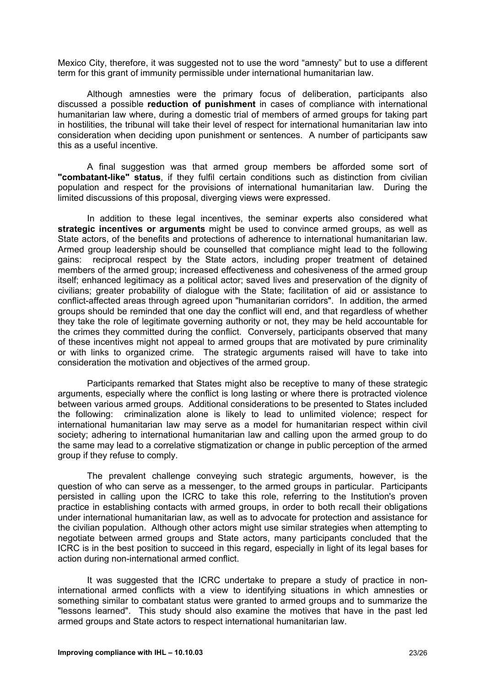Mexico City, therefore, it was suggested not to use the word "amnesty" but to use a different term for this grant of immunity permissible under international humanitarian law.

Although amnesties were the primary focus of deliberation, participants also discussed a possible **reduction of punishment** in cases of compliance with international humanitarian law where, during a domestic trial of members of armed groups for taking part in hostilities, the tribunal will take their level of respect for international humanitarian law into consideration when deciding upon punishment or sentences. A number of participants saw this as a useful incentive.

A final suggestion was that armed group members be afforded some sort of **"combatant-like" status**, if they fulfil certain conditions such as distinction from civilian population and respect for the provisions of international humanitarian law. During the limited discussions of this proposal, diverging views were expressed.

In addition to these legal incentives, the seminar experts also considered what **strategic incentives or arguments** might be used to convince armed groups, as well as State actors, of the benefits and protections of adherence to international humanitarian law. Armed group leadership should be counselled that compliance might lead to the following gains: reciprocal respect by the State actors, including proper treatment of detained members of the armed group; increased effectiveness and cohesiveness of the armed group itself; enhanced legitimacy as a political actor; saved lives and preservation of the dignity of civilians; greater probability of dialogue with the State; facilitation of aid or assistance to conflict-affected areas through agreed upon "humanitarian corridors". In addition, the armed groups should be reminded that one day the conflict will end, and that regardless of whether they take the role of legitimate governing authority or not, they may be held accountable for the crimes they committed during the conflict. Conversely, participants observed that many of these incentives might not appeal to armed groups that are motivated by pure criminality or with links to organized crime. The strategic arguments raised will have to take into consideration the motivation and objectives of the armed group.

Participants remarked that States might also be receptive to many of these strategic arguments, especially where the conflict is long lasting or where there is protracted violence between various armed groups. Additional considerations to be presented to States included the following: criminalization alone is likely to lead to unlimited violence; respect for international humanitarian law may serve as a model for humanitarian respect within civil society; adhering to international humanitarian law and calling upon the armed group to do the same may lead to a correlative stigmatization or change in public perception of the armed group if they refuse to comply.

The prevalent challenge conveying such strategic arguments, however, is the question of who can serve as a messenger, to the armed groups in particular. Participants persisted in calling upon the ICRC to take this role, referring to the Institution's proven practice in establishing contacts with armed groups, in order to both recall their obligations under international humanitarian law, as well as to advocate for protection and assistance for the civilian population. Although other actors might use similar strategies when attempting to negotiate between armed groups and State actors, many participants concluded that the ICRC is in the best position to succeed in this regard, especially in light of its legal bases for action during non-international armed conflict.

It was suggested that the ICRC undertake to prepare a study of practice in noninternational armed conflicts with a view to identifying situations in which amnesties or something similar to combatant status were granted to armed groups and to summarize the "lessons learned". This study should also examine the motives that have in the past led armed groups and State actors to respect international humanitarian law.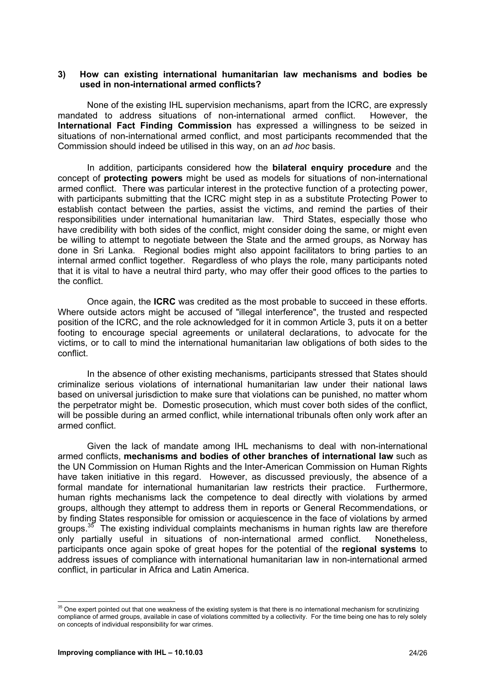#### **3) How can existing international humanitarian law mechanisms and bodies be used in non-international armed conflicts?**

None of the existing IHL supervision mechanisms, apart from the ICRC, are expressly mandated to address situations of non-international armed conflict. However, the **International Fact Finding Commission** has expressed a willingness to be seized in situations of non-international armed conflict, and most participants recommended that the Commission should indeed be utilised in this way, on an *ad hoc* basis.

In addition, participants considered how the **bilateral enquiry procedure** and the concept of **protecting powers** might be used as models for situations of non-international armed conflict. There was particular interest in the protective function of a protecting power, with participants submitting that the ICRC might step in as a substitute Protecting Power to establish contact between the parties, assist the victims, and remind the parties of their responsibilities under international humanitarian law. Third States, especially those who have credibility with both sides of the conflict, might consider doing the same, or might even be willing to attempt to negotiate between the State and the armed groups, as Norway has done in Sri Lanka. Regional bodies might also appoint facilitators to bring parties to an internal armed conflict together. Regardless of who plays the role, many participants noted that it is vital to have a neutral third party, who may offer their good offices to the parties to the conflict.

Once again, the **ICRC** was credited as the most probable to succeed in these efforts. Where outside actors might be accused of "illegal interference", the trusted and respected position of the ICRC, and the role acknowledged for it in common Article 3, puts it on a better footing to encourage special agreements or unilateral declarations, to advocate for the victims, or to call to mind the international humanitarian law obligations of both sides to the conflict.

In the absence of other existing mechanisms, participants stressed that States should criminalize serious violations of international humanitarian law under their national laws based on universal jurisdiction to make sure that violations can be punished, no matter whom the perpetrator might be. Domestic prosecution, which must cover both sides of the conflict, will be possible during an armed conflict, while international tribunals often only work after an armed conflict.

Given the lack of mandate among IHL mechanisms to deal with non-international armed conflicts, **mechanisms and bodies of other branches of international law** such as the UN Commission on Human Rights and the Inter-American Commission on Human Rights have taken initiative in this regard. However, as discussed previously, the absence of a formal mandate for international humanitarian law restricts their practice. Furthermore, human rights mechanisms lack the competence to deal directly with violations by armed groups, although they attempt to address them in reports or General Recommendations, or by finding States responsible for omission or acquiescence in the face of violations by armed groups. $35$  The existing individual complaints mechanisms in human rights law are therefore only partially useful in situations of non-international armed conflict. Nonetheless, participants once again spoke of great hopes for the potential of the **regional systems** to address issues of compliance with international humanitarian law in non-international armed conflict, in particular in Africa and Latin America.

 <sup>35</sup> One expert pointed out that one weakness of the existing system is that there is no international mechanism for scrutinizing compliance of armed groups, available in case of violations committed by a collectivity. For the time being one has to rely solely on concepts of individual responsibility for war crimes.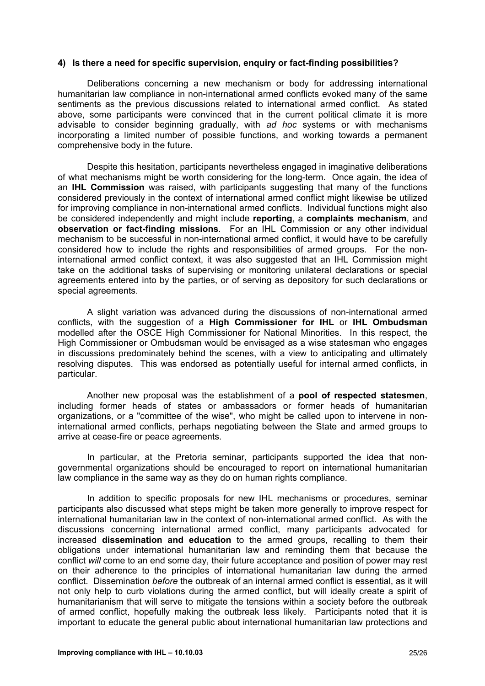#### **4) Is there a need for specific supervision, enquiry or fact-finding possibilities?**

Deliberations concerning a new mechanism or body for addressing international humanitarian law compliance in non-international armed conflicts evoked many of the same sentiments as the previous discussions related to international armed conflict. As stated above, some participants were convinced that in the current political climate it is more advisable to consider beginning gradually, with *ad hoc* systems or with mechanisms incorporating a limited number of possible functions, and working towards a permanent comprehensive body in the future.

Despite this hesitation, participants nevertheless engaged in imaginative deliberations of what mechanisms might be worth considering for the long-term. Once again, the idea of an **IHL Commission** was raised, with participants suggesting that many of the functions considered previously in the context of international armed conflict might likewise be utilized for improving compliance in non-international armed conflicts. Individual functions might also be considered independently and might include **reporting**, a **complaints mechanism**, and **observation or fact-finding missions**. For an IHL Commission or any other individual mechanism to be successful in non-international armed conflict, it would have to be carefully considered how to include the rights and responsibilities of armed groups. For the noninternational armed conflict context, it was also suggested that an IHL Commission might take on the additional tasks of supervising or monitoring unilateral declarations or special agreements entered into by the parties, or of serving as depository for such declarations or special agreements.

A slight variation was advanced during the discussions of non-international armed conflicts, with the suggestion of a **High Commissioner for IHL** or **IHL Ombudsman** modelled after the OSCE High Commissioner for National Minorities. In this respect, the High Commissioner or Ombudsman would be envisaged as a wise statesman who engages in discussions predominately behind the scenes, with a view to anticipating and ultimately resolving disputes. This was endorsed as potentially useful for internal armed conflicts, in particular.

Another new proposal was the establishment of a **pool of respected statesmen**, including former heads of states or ambassadors or former heads of humanitarian organizations, or a "committee of the wise", who might be called upon to intervene in noninternational armed conflicts, perhaps negotiating between the State and armed groups to arrive at cease-fire or peace agreements.

In particular, at the Pretoria seminar, participants supported the idea that nongovernmental organizations should be encouraged to report on international humanitarian law compliance in the same way as they do on human rights compliance.

In addition to specific proposals for new IHL mechanisms or procedures, seminar participants also discussed what steps might be taken more generally to improve respect for international humanitarian law in the context of non-international armed conflict. As with the discussions concerning international armed conflict, many participants advocated for increased **dissemination and education** to the armed groups, recalling to them their obligations under international humanitarian law and reminding them that because the conflict *will* come to an end some day, their future acceptance and position of power may rest on their adherence to the principles of international humanitarian law during the armed conflict. Dissemination *before* the outbreak of an internal armed conflict is essential, as it will not only help to curb violations during the armed conflict, but will ideally create a spirit of humanitarianism that will serve to mitigate the tensions within a society before the outbreak of armed conflict, hopefully making the outbreak less likely. Participants noted that it is important to educate the general public about international humanitarian law protections and